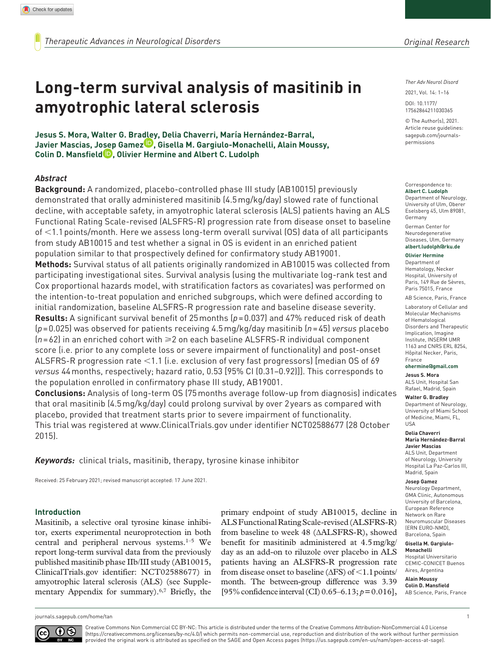# **Long-term survival analysis of masitinib in amyotrophic lateral sclerosis**

**Jesus S. Mora, Walter G. Bradley, Delia Chaverri, María Hernández-Barral, Javier Mascias, Josep Gamez , Gisella M. Gargiulo-Monachelli, Alain Moussy, Colin D. Mansfield , Olivier Hermine and Albert C. Ludolph**

#### *Abstract*

**Background:** A randomized, placebo-controlled phase III study (AB10015) previously demonstrated that orally administered masitinib (4.5mg/kg/day) slowed rate of functional decline, with acceptable safety, in amyotrophic lateral sclerosis (ALS) patients having an ALS Functional Rating Scale-revised (ALSFRS-R) progression rate from disease onset to baseline of <1.1points/month. Here we assess long-term overall survival (OS) data of all participants from study AB10015 and test whether a signal in OS is evident in an enriched patient population similar to that prospectively defined for confirmatory study AB19001.

**Methods:** Survival status of all patients originally randomized in AB10015 was collected from participating investigational sites. Survival analysis (using the multivariate log-rank test and Cox proportional hazards model, with stratification factors as covariates) was performed on the intention-to-treat population and enriched subgroups, which were defined according to initial randomization, baseline ALSFRS-R progression rate and baseline disease severity. **Results:** A significant survival benefit of 25months (*p*=0.037) and 47% reduced risk of death (*p*=0.025) was observed for patients receiving 4.5mg/kg/day masitinib (*n*=45) *versus* placebo  $(n=62)$  in an enriched cohort with  $\geq 2$  on each baseline ALSFRS-R individual component score (i.e. prior to any complete loss or severe impairment of functionality) and post-onset ALSFRS-R progression rate <1.1 (i.e. exclusion of very fast progressors) [median OS of 69 *versus* 44months, respectively; hazard ratio, 0.53 [95% CI (0.31–0.92)]]. This corresponds to the population enrolled in confirmatory phase III study, AB19001.

**Conclusions:** Analysis of long-term OS (75months average follow-up from diagnosis) indicates that oral masitinib (4.5mg/kg/day) could prolong survival by over 2years as compared with placebo, provided that treatment starts prior to severe impairment of functionality. This trial was registered at <www.ClinicalTrials.gov>under identifier NCT02588677 (28 October 2015).

*Keywords:* clinical trials, masitinib, therapy, tyrosine kinase inhibitor

Received: 25 February 2021; revised manuscript accepted: 17 June 2021.

#### **Introduction**

Masitinib, a selective oral tyrosine kinase inhibitor, exerts experimental neuroprotection in both central and peripheral nervous systems.1–5 We report long-term survival data from the previously published masitinib phase IIb/III study (AB10015, ClinicalTrials.gov identifier: NCT02588677) in amyotrophic lateral sclerosis (ALS) (see Supplementary Appendix for summary).6,7 Briefly, the primary endpoint of study AB10015, decline in ALS Functional Rating Scale-revised (ALSFRS-R) from baseline to week 48 (∆ALSFRS-R), showed benefit for masitinib administered at 4.5mg/kg/ day as an add-on to riluzole over placebo in ALS patients having an ALSFRS-R progression rate from disease onset to baseline ( $\Delta FS$ ) of <1.1 points/ month. The between-group difference was 3.39 [95% confidence interval (CI) 0.65–6.13; *p*=0.016],

*Ther Adv Neurol Disord*

DOI: 10.1177/ 2021, Vol. 14: 1–16

© The Author(s), 2021. Article reuse guidelines: [sagepub.com/journals](https://uk.sagepub.com/en-gb/journals-permissions)[permissions](https://uk.sagepub.com/en-gb/journals-permissions)

17562864211030365

#### Correspondence to: **Albert C. Ludolph**

Department of Neurology, University of Ulm, Oberer Eselsberg 45, Ulm 89081, Germany

German Center for Neurodegenerative Diseases, Ulm, Germany **[albert.ludolph@rku.de](mailto:albert.ludolph@rku.de)**

#### **Olivier Hermine**

Department of Hematology, Necker Hospital, University of Paris, 149 Rue de Sèvres, Paris 75015, France

AB Science, Paris, France Laboratory of Cellular and Molecular Mechanisms of Hematological Disorders and Therapeutic Implication, Imagine Institute, INSERM UMR 1163 and CNRS ERL 8254, Hôpital Necker, Paris, France

## **[ohermine@gmail.com](mailto:ohermine@gmail.com)**

**Jesus S. Mora** ALS Unit, Hospital San Rafael, Madrid, Spain

#### **Walter G. Bradley**

Department of Neurology, University of Miami School of Medicine, Miami, FL, USA

#### **Delia Chaverri**

**María Hernández-Barral Javier Mascias** ALS Unit, Department of Neurology, University Hospital La Paz-Carlos III, Madrid, Spain

#### **Josep Gamez**

Neurology Department, GMA Clinic, Autonomous University of Barcelona, European Reference Network on Rare Neuromuscular Diseases (ERN EURO-NMD), Barcelona, Spain

#### **Gisella M. Gargiulo-Monachelli**

Hospital Universitario CEMIC-CONICET Buenos Aires, Argentina

AB Science, Paris, France

**Alain Moussy Colin D. Mansfield**

[journals.sagepub.com/home/tan](https://journals.sagepub.com/home/tan) 1



Creative Commons Non Commercial CC BY-NC: This article is distributed under the terms of the Creative Commons Attribution-NonCommercial 4.0 License (https://creativecommons.org/licenses/by-nc/4.0/) which permits non-commercial use, reproduction and distribution of the work without further permission provided the original work is attributed as specified on the SAGE and Open Access pages (https://us.sagepub.com/en-us/nam/open-access-at-sage).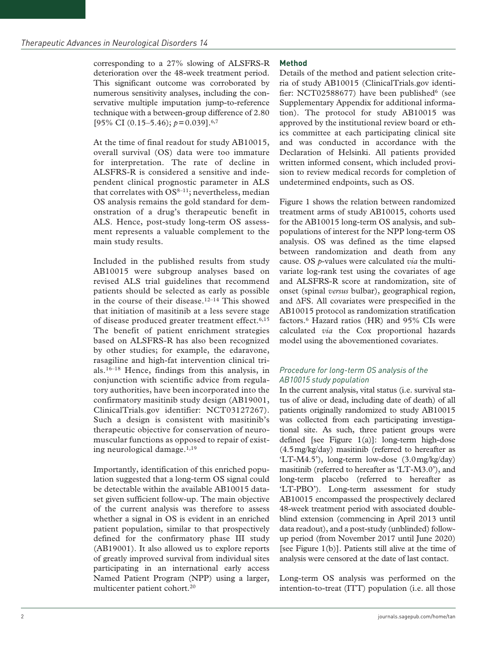corresponding to a 27% slowing of ALSFRS-R deterioration over the 48-week treatment period. This significant outcome was corroborated by numerous sensitivity analyses, including the conservative multiple imputation jump-to-reference technique with a between-group difference of 2.80 [95\% CI (0.15–5.46);  $p=0.039$ ].<sup>6,7</sup>

At the time of final readout for study AB10015, overall survival (OS) data were too immature for interpretation. The rate of decline in ALSFRS-R is considered a sensitive and independent clinical prognostic parameter in ALS that correlates with  $OS^{8-11}$ ; nevertheless, median OS analysis remains the gold standard for demonstration of a drug's therapeutic benefit in ALS. Hence, post-study long-term OS assessment represents a valuable complement to the main study results.

Included in the published results from study AB10015 were subgroup analyses based on revised ALS trial guidelines that recommend patients should be selected as early as possible in the course of their disease.12–14 This showed that initiation of masitinib at a less severe stage of disease produced greater treatment effect.<sup>6,15</sup> The benefit of patient enrichment strategies based on ALSFRS-R has also been recognized by other studies; for example, the edaravone, rasagiline and high-fat intervention clinical trials.16–18 Hence, findings from this analysis, in conjunction with scientific advice from regulatory authorities, have been incorporated into the confirmatory masitinib study design (AB19001, ClinicalTrials.gov identifier: NCT03127267). Such a design is consistent with masitinib's therapeutic objective for conservation of neuromuscular functions as opposed to repair of existing neurological damage.1,19

Importantly, identification of this enriched population suggested that a long-term OS signal could be detectable within the available AB10015 dataset given sufficient follow-up. The main objective of the current analysis was therefore to assess whether a signal in OS is evident in an enriched patient population, similar to that prospectively defined for the confirmatory phase III study (AB19001). It also allowed us to explore reports of greatly improved survival from individual sites participating in an international early access Named Patient Program (NPP) using a larger, multicenter patient cohort.20

# **Method**

Details of the method and patient selection criteria of study AB10015 (ClinicalTrials.gov identifier: NCT02588677) have been published $6$  (see Supplementary Appendix for additional information). The protocol for study AB10015 was approved by the institutional review board or ethics committee at each participating clinical site and was conducted in accordance with the Declaration of Helsinki. All patients provided written informed consent, which included provision to review medical records for completion of undetermined endpoints, such as OS.

Figure 1 shows the relation between randomized treatment arms of study AB10015, cohorts used for the AB10015 long-term OS analysis, and subpopulations of interest for the NPP long-term OS analysis. OS was defined as the time elapsed between randomization and death from any cause. OS *p*-values were calculated *via* the multivariate log-rank test using the covariates of age and ALSFRS-R score at randomization, site of onset (spinal *versus* bulbar), geographical region, and ΔFS. All covariates were prespecified in the AB10015 protocol as randomization stratification factors.6 Hazard ratios (HR) and 95% CIs were calculated *via* the Cox proportional hazards model using the abovementioned covariates.

# *Procedure for long-term OS analysis of the AB10015 study population*

In the current analysis, vital status (i.e. survival status of alive or dead, including date of death) of all patients originally randomized to study AB10015 was collected from each participating investigational site. As such, three patient groups were defined [see Figure 1(a)]: long-term high-dose (4.5mg/kg/day) masitinib (referred to hereafter as 'LT-M4.5'), long-term low-dose (3.0mg/kg/day) masitinib (referred to hereafter as 'LT-M3.0'), and long-term placebo (referred to hereafter as 'LT-PBO'). Long-term assessment for study AB10015 encompassed the prospectively declared 48-week treatment period with associated doubleblind extension (commencing in April 2013 until data readout), and a post-study (unblinded) followup period (from November 2017 until June 2020) [see Figure 1(b)]. Patients still alive at the time of analysis were censored at the date of last contact.

Long-term OS analysis was performed on the intention-to-treat (ITT) population (i.e. all those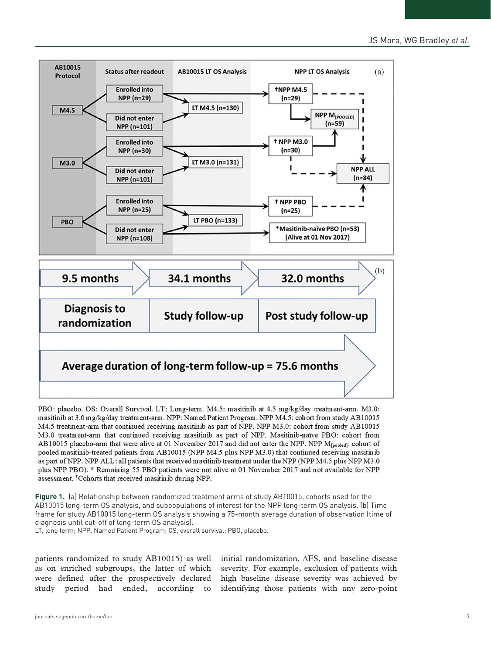

PBO: placebo. OS: Overall Survival. LT: Long-term. M4.5: masitinib at 4.5 mg/kg/day treatment-arm. M3.0: masitinib at 3.0 mg/kg/day treatment-arm. NPP: Named Patient Program. NPP M4.5: cohort from study AB10015 M4.5 treatment-arm that continued receiving masitinib as part of NPP. NPP M3.0: cohort from study AB10015 M3.0 treatment-arm that continued receiving masitinib as part of NPP. Masitinib-naïve PBO: cohort from AB10015 placebo-arm that were alive at 01 November 2017 and did not enter the NPP. NPP M<sub>[pooled]</sub>: cohort of pooled masitmib-treated patients from AB10015 (NPP M4.5 plus NPP M3.0) that continued receiving masitmib as part of NPP. NPP ALL: all patients that received masitinib treatment under the NPP (NPP M4.5 plus NPP M3.0 plus NPP PBO). \* Remaining 55 PBO patients were not alive at 01 November 2017 and not available for NPP assessment. <sup>†</sup>Cohorts that received masitinib during NPP.

**Figure 1.** (a) Relationship between randomized treatment arms of study AB10015, cohorts used for the AB10015 long-term OS analysis, and subpopulations of interest for the NPP long-term OS analysis. (b) Time frame for study AB10015 long-term OS analysis showing a 75-month average duration of observation (time of diagnosis until cut-off of long-term OS analysis).

LT, long term; NPP, Named Patient Program; OS, overall survival; PBO, placebo.

patients randomized to study AB10015) as well as on enriched subgroups, the latter of which were defined after the prospectively declared study period had ended, according to

initial randomization, ΔFS, and baseline disease severity. For example, exclusion of patients with high baseline disease severity was achieved by identifying those patients with any zero-point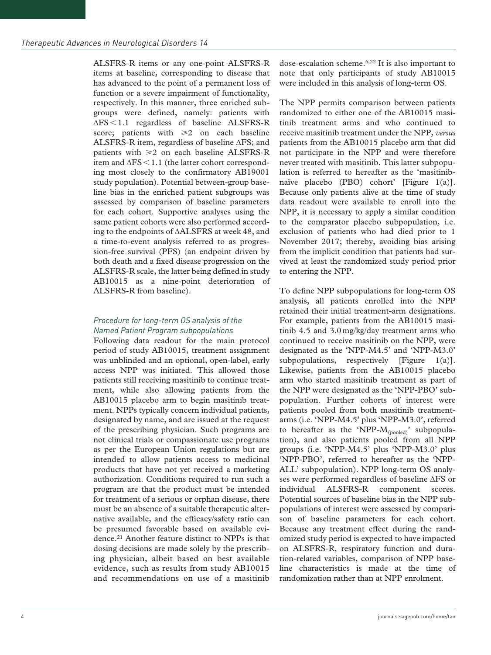ALSFRS-R items or any one-point ALSFRS-R items at baseline, corresponding to disease that has advanced to the point of a permanent loss of function or a severe impairment of functionality, respectively. In this manner, three enriched subgroups were defined, namely: patients with ΔFS<1.1 regardless of baseline ALSFRS-R score; patients with  $\geq 2$  on each baseline ALSFRS-R item, regardless of baseline ΔFS; and patients with  $\geq 2$  on each baseline ALSFRS-R item and  $\Delta FS < 1.1$  (the latter cohort corresponding most closely to the confirmatory AB19001 study population). Potential between-group baseline bias in the enriched patient subgroups was assessed by comparison of baseline parameters for each cohort. Supportive analyses using the same patient cohorts were also performed according to the endpoints of ∆ALSFRS at week 48, and a time-to-event analysis referred to as progression-free survival (PFS) (an endpoint driven by both death and a fixed disease progression on the ALSFRS-R scale, the latter being defined in study AB10015 as a nine-point deterioration of ALSFRS-R from baseline).

#### *Procedure for long-term OS analysis of the Named Patient Program subpopulations*

Following data readout for the main protocol period of study AB10015, treatment assignment was unblinded and an optional, open-label, early access NPP was initiated. This allowed those patients still receiving masitinib to continue treatment, while also allowing patients from the AB10015 placebo arm to begin masitinib treatment. NPPs typically concern individual patients, designated by name, and are issued at the request of the prescribing physician. Such programs are not clinical trials or compassionate use programs as per the European Union regulations but are intended to allow patients access to medicinal products that have not yet received a marketing authorization. Conditions required to run such a program are that the product must be intended for treatment of a serious or orphan disease, there must be an absence of a suitable therapeutic alternative available, and the efficacy/safety ratio can be presumed favorable based on available evidence.21 Another feature distinct to NPPs is that dosing decisions are made solely by the prescribing physician, albeit based on best available evidence, such as results from study AB10015 and recommendations on use of a masitinib dose-escalation scheme.6,22 It is also important to note that only participants of study AB10015 were included in this analysis of long-term OS.

The NPP permits comparison between patients randomized to either one of the AB10015 masitinib treatment arms and who continued to receive masitinib treatment under the NPP, *versus* patients from the AB10015 placebo arm that did not participate in the NPP and were therefore never treated with masitinib. This latter subpopulation is referred to hereafter as the 'masitinibnaïve placebo (PBO) cohort' [Figure 1(a)]. Because only patients alive at the time of study data readout were available to enroll into the NPP, it is necessary to apply a similar condition to the comparator placebo subpopulation, i.e. exclusion of patients who had died prior to 1 November 2017; thereby, avoiding bias arising from the implicit condition that patients had survived at least the randomized study period prior to entering the NPP.

To define NPP subpopulations for long-term OS analysis, all patients enrolled into the NPP retained their initial treatment-arm designations. For example, patients from the AB10015 masitinib 4.5 and 3.0mg/kg/day treatment arms who continued to receive masitinib on the NPP, were designated as the 'NPP-M4.5' and 'NPP-M3.0' subpopulations, respectively [Figure 1(a)]. Likewise, patients from the AB10015 placebo arm who started masitinib treatment as part of the NPP were designated as the 'NPP-PBO' subpopulation. Further cohorts of interest were patients pooled from both masitinib treatmentarms (i.e. 'NPP-M4.5' plus 'NPP-M3.0', referred to hereafter as the 'NPP- $M_{(pooled)}$ ' subpopulation), and also patients pooled from all NPP groups (i.e. 'NPP-M4.5' plus 'NPP-M3.0' plus 'NPP-PBO', referred to hereafter as the 'NPP-ALL' subpopulation). NPP long-term OS analyses were performed regardless of baseline ΔFS or individual ALSFRS-R component scores. Potential sources of baseline bias in the NPP subpopulations of interest were assessed by comparison of baseline parameters for each cohort. Because any treatment effect during the randomized study period is expected to have impacted on ALSFRS-R, respiratory function and duration-related variables, comparison of NPP baseline characteristics is made at the time of randomization rather than at NPP enrolment.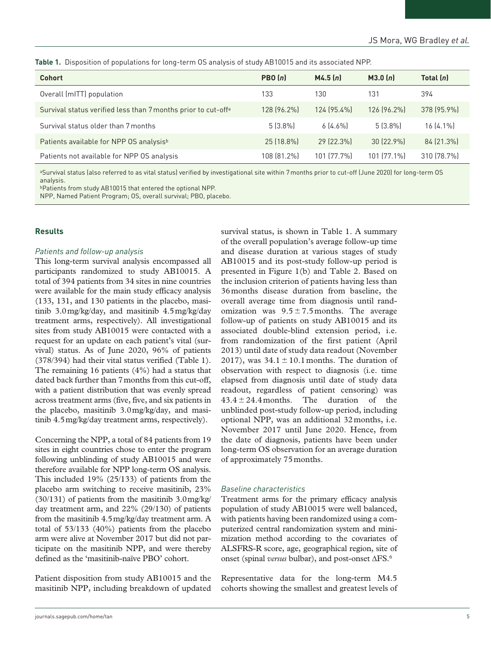**Table 1.** Disposition of populations for long-term OS analysis of study AB10015 and its associated NPP.

| <b>Cohort</b>                                                             | PBO(n)      | M4.5(n)     | M3.0(n)     | Total $(n)$ |
|---------------------------------------------------------------------------|-------------|-------------|-------------|-------------|
| Overall (mITT) population                                                 | 133         | 130         | 131         | 394         |
| Survival status verified less than 7 months prior to cut-off <sup>a</sup> | 128 (96.2%) | 124 (95.4%) | 126 (96.2%) | 378 (95.9%) |
| Survival status older than 7 months                                       | $5(3.8\%)$  | 6[4.6%]     | $5(3.8\%)$  | $16(4.1\%)$ |
| Patients available for NPP OS analysis <sup>b</sup>                       | 25 (18.8%)  | 29 (22.3%)  | 30 (22.9%)  | 84 (21.3%)  |
| Patients not available for NPP OS analysis                                | 108 (81.2%) | 101 (77.7%) | 101 (77.1%) | 310 (78.7%) |

aSurvival status (also referred to as vital status) verified by investigational site within 7 months prior to cut-off (June 2020) for long-term OS analysis.

bPatients from study AB10015 that entered the optional NPP.

NPP, Named Patient Program; OS, overall survival; PBO, placebo.

## **Results**

#### *Patients and follow-up analysis*

This long-term survival analysis encompassed all participants randomized to study AB10015. A total of 394 patients from 34 sites in nine countries were available for the main study efficacy analysis (133, 131, and 130 patients in the placebo, masitinib 3.0mg/kg/day, and masitinib 4.5mg/kg/day treatment arms, respectively). All investigational sites from study AB10015 were contacted with a request for an update on each patient's vital (survival) status. As of June 2020, 96% of patients (378/394) had their vital status verified (Table 1). The remaining 16 patients (4%) had a status that dated back further than 7months from this cut-off, with a patient distribution that was evenly spread across treatment arms (five, five, and six patients in the placebo, masitinib 3.0mg/kg/day, and masitinib 4.5mg/kg/day treatment arms, respectively).

Concerning the NPP, a total of 84 patients from 19 sites in eight countries chose to enter the program following unblinding of study AB10015 and were therefore available for NPP long-term OS analysis. This included 19% (25/133) of patients from the placebo arm switching to receive masitinib, 23% (30/131) of patients from the masitinib 3.0mg/kg/ day treatment arm, and 22% (29/130) of patients from the masitinib 4.5mg/kg/day treatment arm. A total of 53/133 (40%) patients from the placebo arm were alive at November 2017 but did not participate on the masitinib NPP, and were thereby defined as the 'masitinib-naïve PBO' cohort.

Patient disposition from study AB10015 and the masitinib NPP, including breakdown of updated

survival status, is shown in Table 1. A summary of the overall population's average follow-up time and disease duration at various stages of study AB10015 and its post-study follow-up period is presented in Figure 1(b) and Table 2. Based on the inclusion criterion of patients having less than 36months disease duration from baseline, the overall average time from diagnosis until randomization was  $9.5 \pm 7.5$  months. The average follow-up of patients on study AB10015 and its associated double-blind extension period, i.e. from randomization of the first patient (April 2013) until date of study data readout (November 2017), was  $34.1 \pm 10.1$  months. The duration of observation with respect to diagnosis (i.e. time elapsed from diagnosis until date of study data readout, regardless of patient censoring) was  $43.4 \pm 24.4$  months. The duration of the unblinded post-study follow-up period, including optional NPP, was an additional 32months, i.e. November 2017 until June 2020. Hence, from the date of diagnosis, patients have been under long-term OS observation for an average duration of approximately 75months.

## *Baseline characteristics*

Treatment arms for the primary efficacy analysis population of study AB10015 were well balanced, with patients having been randomized using a computerized central randomization system and minimization method according to the covariates of ALSFRS-R score, age, geographical region, site of onset (spinal *versus* bulbar), and post-onset ΔFS.6

Representative data for the long-term M4.5 cohorts showing the smallest and greatest levels of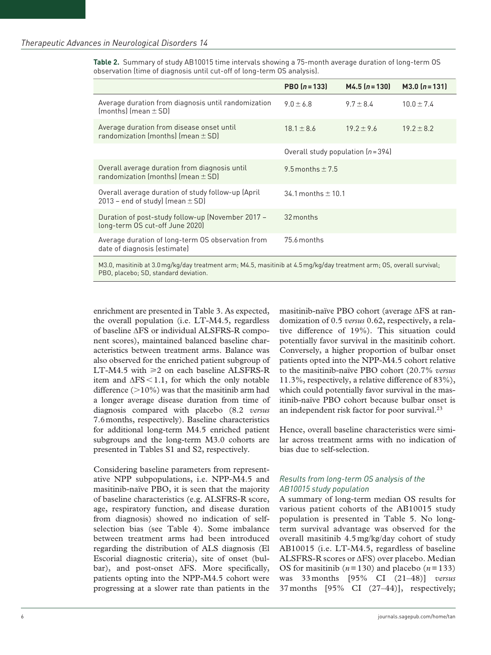**Table 2.** Summary of study AB10015 time intervals showing a 75-month average duration of long-term OS observation (time of diagnosis until cut-off of long-term OS analysis).

|                                                                                                                       | PBO $(n = 133)$                    | $M4.5$ $(n = 130)$ | $M3.0(n=131)$  |  |  |  |
|-----------------------------------------------------------------------------------------------------------------------|------------------------------------|--------------------|----------------|--|--|--|
| Average duration from diagnosis until randomization<br>$[months]$ (mean $\pm$ SD)                                     | $9.0 \pm 6.8$                      | $9.7 \pm 8.4$      | $10.0 \pm 7.4$ |  |  |  |
| Average duration from disease onset until<br>randomization (months) (mean $\pm$ SD)                                   | $18.1 \pm 8.6$                     | $19.2 \pm 9.6$     | $19.2 \pm 8.2$ |  |  |  |
|                                                                                                                       | Overall study population $(n=394)$ |                    |                |  |  |  |
| Overall average duration from diagnosis until<br>randomization (months) (mean $\pm$ SD)                               | 9.5 months $\pm$ 7.5               |                    |                |  |  |  |
| Overall average duration of study follow-up (April<br>2013 - end of study) (mean $\pm$ SD)                            | 34.1 months $\pm$ 10.1             |                    |                |  |  |  |
| Duration of post-study follow-up (November 2017 -<br>long-term OS cut-off June 2020)                                  | 32 months                          |                    |                |  |  |  |
| Average duration of long-term OS observation from<br>date of diagnosis (estimate)                                     | 75.6 months                        |                    |                |  |  |  |
| M3.0, masitinib at 3.0 mg/kg/day treatment arm; M4.5, masitinib at 4.5 mg/kg/day treatment arm; OS, overall survival; |                                    |                    |                |  |  |  |

PBO, placebo; SD, standard deviation.

enrichment are presented in Table 3. As expected, the overall population (i.e. LT-M4.5, regardless of baseline ΔFS or individual ALSFRS-R component scores), maintained balanced baseline characteristics between treatment arms. Balance was also observed for the enriched patient subgroup of LT-M4.5 with  $\geq 2$  on each baseline ALSFRS-R item and  $\Delta FS < 1.1$ , for which the only notable difference  $(>10\%)$  was that the masitinib arm had a longer average disease duration from time of diagnosis compared with placebo (8.2 *versus* 7.6months, respectively). Baseline characteristics for additional long-term M4.5 enriched patient subgroups and the long-term M3.0 cohorts are presented in Tables S1 and S2, respectively.

Considering baseline parameters from representative NPP subpopulations, i.e. NPP-M4.5 and masitinib-naïve PBO, it is seen that the majority of baseline characteristics (e.g. ALSFRS-R score, age, respiratory function, and disease duration from diagnosis) showed no indication of selfselection bias (see Table 4). Some imbalance between treatment arms had been introduced regarding the distribution of ALS diagnosis (El Escorial diagnostic criteria), site of onset (bulbar), and post-onset ΔFS. More specifically, patients opting into the NPP-M4.5 cohort were progressing at a slower rate than patients in the

masitinib-naïve PBO cohort (average ΔFS at randomization of 0.5 *versus* 0.62, respectively, a relative difference of 19%). This situation could potentially favor survival in the masitinib cohort. Conversely, a higher proportion of bulbar onset patients opted into the NPP-M4.5 cohort relative to the masitinib-naïve PBO cohort (20.7% *versus* 11.3%, respectively, a relative difference of 83%), which could potentially favor survival in the masitinib-naïve PBO cohort because bulbar onset is an independent risk factor for poor survival.23

Hence, overall baseline characteristics were similar across treatment arms with no indication of bias due to self-selection.

# *Results from long-term OS analysis of the AB10015 study population*

A summary of long-term median OS results for various patient cohorts of the AB10015 study population is presented in Table 5. No longterm survival advantage was observed for the overall masitinib 4.5 mg/kg/day cohort of study AB10015 (i.e. LT-M4.5, regardless of baseline ALSFRS-R scores or ΔFS) over placebo. Median OS for masitinib  $(n=130)$  and placebo  $(n=133)$ was 33 months [95% CI (21–48)] *versus* 37 months [95% CI (27–44)], respectively;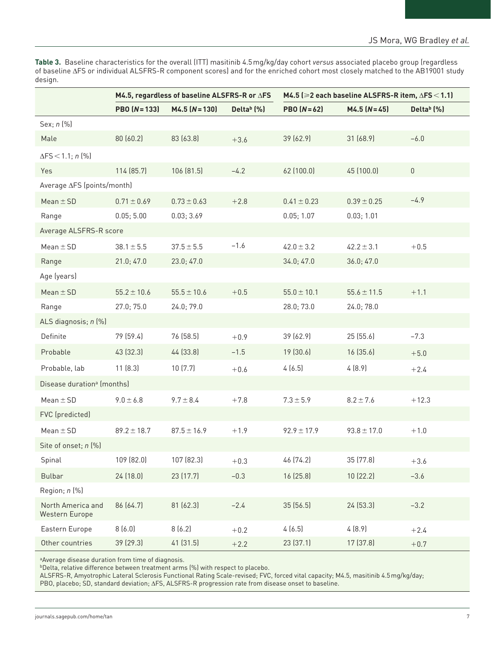**Table 3.** Baseline characteristics for the overall (ITT) masitinib 4.5mg/kg/day cohort *versus* associated placebo group (regardless of baseline ΔFS or individual ALSFRS-R component scores) and for the enriched cohort most closely matched to the AB19001 study design.

|                                        | M4.5, regardless of baseline ALSFRS-R or ∆FS |                      |                    | M4.5 ( $\geq$ 2 each baseline ALSFRS-R item, $\Delta$ FS < 1.1) |                 |                        |  |
|----------------------------------------|----------------------------------------------|----------------------|--------------------|-----------------------------------------------------------------|-----------------|------------------------|--|
|                                        | $PBO(N=133)$                                 | $M4.5$ ( $N = 130$ ) | Delta $(b)$ $(\%)$ | $PBO (N=62)$                                                    | $M4.5 (N=45)$   | Delta <sup>b</sup> (%) |  |
| Sex; n (%)                             |                                              |                      |                    |                                                                 |                 |                        |  |
| Male                                   | 80 (60.2)                                    | 83 (63.8)            | $+3.6$             | 39 (62.9)                                                       | 31 (68.9)       | $-6.0$                 |  |
| $\Delta$ FS < 1.1; n (%)               |                                              |                      |                    |                                                                 |                 |                        |  |
| Yes                                    | 114 (85.7)                                   | 106 (81.5)           | $-4.2$             | 62 (100.0)                                                      | 45 (100.0)      | $\mathsf 0$            |  |
| Average ∆FS (points/month)             |                                              |                      |                    |                                                                 |                 |                        |  |
| Mean $\pm$ SD                          | $0.71 \pm 0.69$                              | $0.73 \pm 0.63$      | $+2.8$             | $0.41 \pm 0.23$                                                 | $0.39 \pm 0.25$ | $-4.9$                 |  |
| Range                                  | 0.05; 5.00                                   | 0.03; 3.69           |                    | 0.05; 1.07                                                      | 0.03; 1.01      |                        |  |
| Average ALSFRS-R score                 |                                              |                      |                    |                                                                 |                 |                        |  |
| Mean $\pm$ SD                          | $38.1 \pm 5.5$                               | $37.5 \pm 5.5$       | $-1.6$             | $42.0 \pm 3.2$                                                  | $42.2 \pm 3.1$  | $+0.5$                 |  |
| Range                                  | 21.0; 47.0                                   | 23.0; 47.0           |                    | 34.0; 47.0                                                      | 36.0; 47.0      |                        |  |
| Age (years)                            |                                              |                      |                    |                                                                 |                 |                        |  |
| $Mean \pm SD$                          | $55.2 \pm 10.6$                              | $55.5 \pm 10.6$      | $+0.5$             | $55.0 \pm 10.1$                                                 | $55.6 \pm 11.5$ | $+1.1$                 |  |
| Range                                  | 27.0; 75.0                                   | 24.0; 79.0           |                    | 28.0; 73.0                                                      | 24.0; 78.0      |                        |  |
| ALS diagnosis; n (%)                   |                                              |                      |                    |                                                                 |                 |                        |  |
| Definite                               | 79 (59.4)                                    | 76 (58.5)            | $+0.9$             | 39 (62.9)                                                       | 25 (55.6)       | $-7.3$                 |  |
| Probable                               | 43 (32.3)                                    | 44 (33.8)            | $-1.5$             | 19 (30.6)                                                       | 16(35.6)        | $+5.0$                 |  |
| Probable, lab                          | 11(8.3)                                      | 10(7.7)              | $+0.6$             | 4(6.5)                                                          | 4(8.9)          | $+2.4$                 |  |
| Disease duration <sup>a</sup> (months) |                                              |                      |                    |                                                                 |                 |                        |  |
| $Mean \pm SD$                          | $9.0 \pm 6.8$                                | $9.7 \pm 8.4$        | $+7.8$             | $7.3 \pm 5.9$                                                   | $8.2 \pm 7.6$   | $+12.3$                |  |
| FVC (predicted)                        |                                              |                      |                    |                                                                 |                 |                        |  |
| $Mean \pm SD$                          | $89.2 \pm 18.7$                              | $87.5 \pm 16.9$      | $+1.9$             | $92.9 \pm 17.9$                                                 | $93.8 \pm 17.0$ | $+1.0$                 |  |
| Site of onset; n (%)                   |                                              |                      |                    |                                                                 |                 |                        |  |
| Spinal                                 | 109 (82.0)                                   | 107 (82.3)           | $+0.3$             | 46 (74.2)                                                       | 35 (77.8)       | $+3.6$                 |  |
| <b>Bulbar</b>                          | 24 (18.0)                                    | 23 (17.7)            | $-0.3$             | 16 (25.8)                                                       | 10 (22.2)       | $-3.6$                 |  |
| Region; n (%)                          |                                              |                      |                    |                                                                 |                 |                        |  |
| North America and<br>Western Europe    | 86 (64.7)                                    | 81 (62.3)            | $-2.4$             | 35 (56.5)                                                       | 24 (53.3)       | $-3.2$                 |  |
| Eastern Europe                         | 8(6.0)                                       | 8(6.2)               | $+0.2$             | 4(6.5)                                                          | 4(8.9)          | $+2.4$                 |  |
| Other countries                        | 39 (29.3)                                    | 41 (31.5)            | $+2.2$             | 23 (37.1)                                                       | 17 (37.8)       | $+0.7$                 |  |

a Average disease duration from time of diagnosis.

bDelta, relative difference between treatment arms (%) with respect to placebo.

ALSFRS-R, Amyotrophic Lateral Sclerosis Functional Rating Scale-revised; FVC, forced vital capacity; M4.5, masitinib 4.5mg/kg/day; PBO, placebo; SD, standard deviation; ΔFS, ALSFRS-R progression rate from disease onset to baseline.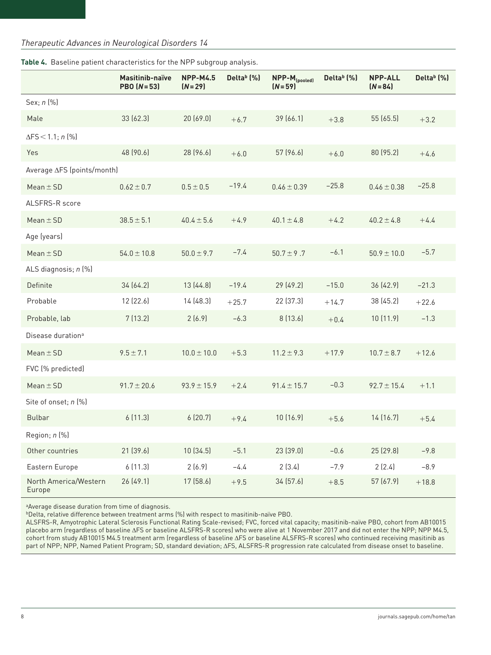# *Therapeutic Advances in Neurological Disorders 14*

|                                 | Masitinib-naïve<br>$PBO (N=53)$ | <b>NPP-M4.5</b><br>$(N=29)$ | Delta <sup>b</sup> (%) | $NPP-M_{(pooled)}$<br>$(N=59)$ | Delta $(b)$ (%) | <b>NPP-ALL</b><br>$(N = 84)$ | Delta <sup>b</sup> (%) |
|---------------------------------|---------------------------------|-----------------------------|------------------------|--------------------------------|-----------------|------------------------------|------------------------|
| Sex; n (%)                      |                                 |                             |                        |                                |                 |                              |                        |
| Male                            | 33 (62.3)                       | 20(69.0)                    | $+6.7$                 | 39 (66.1)                      | $+3.8$          | 55 (65.5)                    | $+3.2$                 |
| $\Delta$ FS < 1.1; n (%)        |                                 |                             |                        |                                |                 |                              |                        |
| Yes                             | 48 (90.6)                       | 28 (96.6)                   | $+6.0$                 | 57 (96.6)                      | $+6.0$          | 80 (95.2)                    | $+4.6$                 |
| Average ∆FS (points/month)      |                                 |                             |                        |                                |                 |                              |                        |
| Mean $\pm$ SD                   | $0.62 \pm 0.7$                  | $0.5 \pm 0.5$               | $-19.4$                | $0.46 \pm 0.39$                | $-25.8$         | $0.46 \pm 0.38$              | $-25.8$                |
| ALSFRS-R score                  |                                 |                             |                        |                                |                 |                              |                        |
| Mean $\pm$ SD                   | $38.5 \pm 5.1$                  | $40.4 \pm 5.6$              | $+4.9$                 | $40.1 \pm 4.8$                 | $+4.2$          | $40.2 \pm 4.8$               | $+4.4$                 |
| Age (years)                     |                                 |                             |                        |                                |                 |                              |                        |
| $Mean \pm SD$                   | $54.0 \pm 10.8$                 | $50.0 \pm 9.7$              | $-7.4$                 | $50.7 \pm 9.7$                 | $-6.1$          | $50.9 \pm 10.0$              | $-5.7$                 |
| ALS diagnosis; n (%)            |                                 |                             |                        |                                |                 |                              |                        |
| Definite                        | 34 (64.2)                       | 13(44.8)                    | $-19.4$                | 29 (49.2)                      | $-15.0$         | 36 (42.9)                    | $-21.3$                |
| Probable                        | 12 (22.6)                       | 14 (48.3)                   | $+25.7$                | 22 (37.3)                      | $+14.7$         | 38 (45.2)                    | $+22.6$                |
| Probable, lab                   | 7(13.2)                         | 2(6.9)                      | $-6.3$                 | 8(13.6)                        | $+0.4$          | 10 (11.9)                    | $-1.3$                 |
| Disease duration <sup>a</sup>   |                                 |                             |                        |                                |                 |                              |                        |
| $Mean \pm SD$                   | $9.5 \pm 7.1$                   | $10.0 \pm 10.0$             | $+5.3$                 | $11.2 \pm 9.3$                 | $+17.9$         | $10.7 \pm 8.7$               | $+12.6$                |
| FVC (% predicted)               |                                 |                             |                        |                                |                 |                              |                        |
| Mean $\pm$ SD                   | $91.7 \pm 20.6$                 | $93.9 \pm 15.9$             | $+2.4$                 | $91.4 \pm 15.7$                | $-0.3$          | $92.7 \pm 15.4$              | $+1.1$                 |
| Site of onset; n (%)            |                                 |                             |                        |                                |                 |                              |                        |
| <b>Bulbar</b>                   | 6(11.3)                         | 6(20.7)                     | $+9.4$                 | 10(16.9)                       | $+5.6$          | 14(16.7)                     | $+5.4$                 |
| Region; n (%)                   |                                 |                             |                        |                                |                 |                              |                        |
| Other countries                 | 21 (39.6)                       | 10(34.5)                    | $-5.1$                 | 23 (39.0)                      | $-0.6$          | 25 (29.8)                    | $-9.8$                 |
| Eastern Europe                  | 6(11.3)                         | 2(6.9)                      | $-4.4$                 | 2(3.4)                         | $-7.9$          | 2(2.4)                       | $-8.9$                 |
| North America/Western<br>Europe | 26 (49.1)                       | 17 (58.6)                   | $+9.5$                 | 34 (57.6)                      | $+8.5$          | 57 (67.9)                    | $+18.8$                |

**Table 4.** Baseline patient characteristics for the NPP subgroup analysis.

aAverage disease duration from time of diagnosis.

bDelta, relative difference between treatment arms (%) with respect to masitinib-naïve PBO.

ALSFRS-R, Amyotrophic Lateral Sclerosis Functional Rating Scale-revised; FVC, forced vital capacity; masitinib-naïve PBO, cohort from AB10015 placebo arm (regardless of baseline ΔFS or baseline ALSFRS-R scores) who were alive at 1 November 2017 and did not enter the NPP; NPP M4.5, cohort from study AB10015 M4.5 treatment arm (regardless of baseline ΔFS or baseline ALSFRS-R scores) who continued receiving masitinib as part of NPP; NPP, Named Patient Program; SD, standard deviation; ΔFS, ALSFRS-R progression rate calculated from disease onset to baseline.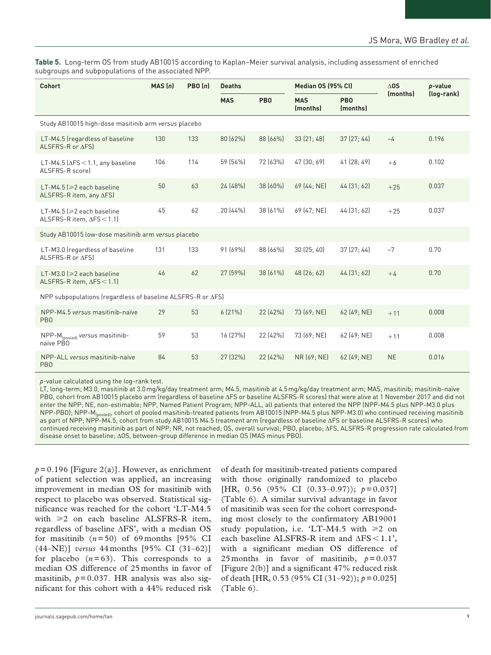**Table 5.** Long-term OS from study AB10015 according to Kaplan–Meier survival analysis, including assessment of enriched subgroups and subpopulations of the associated NPP.

| Cohort                                                                | MAS(n) | PBO(n) | <b>Deaths</b> |                 | Median OS (95% CI)     |                        | $\Delta$ 0S | p-value    |  |
|-----------------------------------------------------------------------|--------|--------|---------------|-----------------|------------------------|------------------------|-------------|------------|--|
|                                                                       |        |        | <b>MAS</b>    | PB <sub>0</sub> | <b>MAS</b><br>(months) | <b>PBO</b><br>(months) | (months)    | (log-rank) |  |
| Study AB10015 high-dose masitinib arm versus placebo                  |        |        |               |                 |                        |                        |             |            |  |
| LT-M4.5 (regardless of baseline<br>ALSFRS-R or $\Delta$ FS)           | 130    | 133    | 80 (62%)      | 88 (66%)        | 33[21; 48]             | 37[27:44]              | $-4$        | 0.196      |  |
| LT-M4.5 ( $\Delta$ FS $<$ 1.1, any baseline<br>ALSFRS-R scorel        | 106    | 114    | 59 (56%)      | 72 (63%)        | 47 (30; 69)            | 41 (28:49)             | $+6$        | 0.102      |  |
| LT-M4.5 ( $\geq$ 2 each baseline<br>ALSFRS-R item, any $\Delta$ FS)   | 50     | 63     | 24 (48%)      | 38 (60%)        | 69 (44; NE)            | 44 [31; 62]            | $+25$       | 0.037      |  |
| LT-M4.5 ( $\geq$ 2 each baseline<br>ALSFRS-R item, $\Delta$ FS < 1.1) | 45     | 62     | 20 (44%)      | 38 (61%)        | 69 (47: NE)            | 44 [31:62]             | $+25$       | 0.037      |  |
| Study AB10015 low-dose masitinib arm versus placebo                   |        |        |               |                 |                        |                        |             |            |  |
| LT-M3.0 (regardless of baseline<br>ALSFRS-R or AFSI                   | 131    | 133    | 91 [69%]      | 88 (66%)        | 30(25:40)              | 37[27:44]              | $-7$        | 0.70       |  |
| LT-M3.0 ( $\geq 2$ each baseline<br>ALSFRS-R item, $\Delta$ FS < 1.1) | 46     | 62     | 27 (59%)      | 38 (61%)        | 48 (26; 62)            | 44 [31; 62]            | $+4$        | 0.70       |  |
| NPP subpopulations (regardless of baseline ALSFRS-R or ΔFS)           |        |        |               |                 |                        |                        |             |            |  |
| NPP-M4.5 versus masitinib-naïve<br>PB <sub>0</sub>                    | 29     | 53     | $6(21\%)$     | 22 (42%)        | 73 (69; NE)            | 62 (49; NE)            | $+11$       | 0.008      |  |
| NPP-M <sub>(pooled)</sub> versus masitinib-<br>naïve PBO              | 59     | 53     | 16 (27%)      | 22 (42%)        | 73 (69: NE)            | 62 (49; NE)            | $+11$       | 0.008      |  |
| NPP-ALL versus masitinib-naïve<br>PB <sub>0</sub>                     | 84     | 53     | 27 (32%)      | 22 (42%)        | NR (69; NE)            | 62 (49; NE)            | <b>NE</b>   | 0.016      |  |

*p*-value calculated using the log-rank test.

LT, long-term; M3.0, masitinib at 3.0mg/kg/day treatment arm; M4.5, masitinib at 4.5mg/kg/day treatment arm; MAS, masitinib; masitinib-naïve PBO, cohort from AB10015 placebo arm (regardless of baseline ΔFS or baseline ALSFRS-R scores) that were alive at 1 November 2017 and did not enter the NPP; NE, non-estimable; NPP, Named Patient Program; NPP-ALL, all patients that entered the NPP (NPP-M4.5 plus NPP-M3.0 plus NPP-PBO); NPP-M<sub>(pooled)</sub>, cohort of pooled masitinib-treated patients from AB10015 (NPP-M4.5 plus NPP-M3.0) who continued receiving masitinib as part of NPP; NPP-M4.5, cohort from study AB10015 M4.5 treatment arm (regardless of baseline ΔFS or baseline ALSFRS-R scores) who continued receiving masitinib as part of NPP; NR, not reached; OS, overall survival; PBO, placebo; ΔFS, ALSFRS-R progression rate calculated from disease onset to baseline; ΔOS, between-group difference in median OS (MAS minus PBO).

 $p=0.196$  [Figure 2(a)]. However, as enrichment of patient selection was applied, an increasing improvement in median OS for masitinib with respect to placebo was observed. Statistical significance was reached for the cohort 'LT-M4.5 with  $\geq 2$  on each baseline ALSFRS-R item, regardless of baseline ΔFS', with a median OS for masitinib  $(n=50)$  of 69 months [95% CI (44–NE)] *versus* 44 months [95% CI (31–62)] for placebo  $(n=63)$ . This corresponds to a median OS difference of 25 months in favor of masitinib,  $p=0.037$ . HR analysis was also significant for this cohort with a 44% reduced risk of death for masitinib-treated patients compared with those originally randomized to placebo [HR, 0.56 (95% CI (0.33–0.97)); *p*=0.037] (Table 6). A similar survival advantage in favor of masitinib was seen for the cohort corresponding most closely to the confirmatory AB19001 study population, i.e. 'LT-M4.5 with  $\geq 2$  on each baseline ALSFRS-R item and ΔFS < 1.1', with a significant median OS difference of 25 months in favor of masitinib,  $p=0.037$ [Figure 2(b)] and a significant 47% reduced risk of death [HR, 0.53 (95% CI (31–92)); *p*=0.025] (Table 6).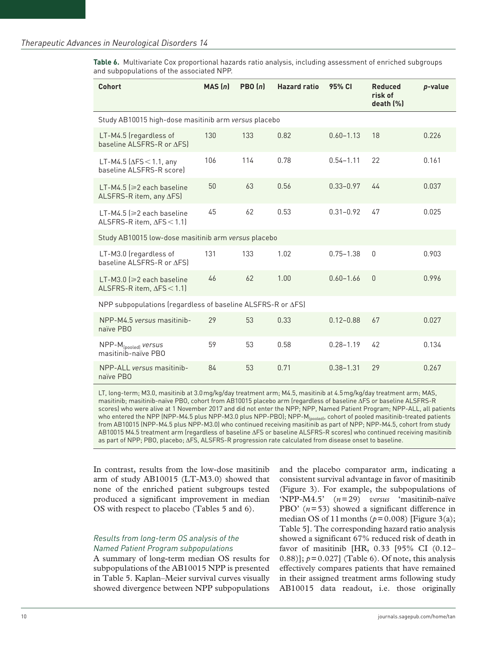**Table 6.** Multivariate Cox proportional hazards ratio analysis, including assessment of enriched subgroups and subpopulations of the associated NPP.

| Cohort                                                                | MAS(n) | PBO(n) | <b>Hazard ratio</b> | 95% CI        | <b>Reduced</b><br>risk of<br>death [%] | p-value |  |  |  |  |
|-----------------------------------------------------------------------|--------|--------|---------------------|---------------|----------------------------------------|---------|--|--|--|--|
| Study AB10015 high-dose masitinib arm versus placebo                  |        |        |                     |               |                                        |         |  |  |  |  |
| LT-M4.5 (regardless of<br>baseline ALSFRS-R or ΔFS)                   | 130    | 133    | 0.82                | $0.60 - 1.13$ | 18                                     | 0.226   |  |  |  |  |
| LT-M4.5 ( $\Delta$ FS < 1.1, any<br>baseline ALSFRS-R scorel          | 106    | 114    | 0.78                | $0.54 - 1.11$ | 22                                     | 0.161   |  |  |  |  |
| LT-M4.5 $\geqslant$ 2 each baseline<br>ALSFRS-R item, any ∆FS)        | 50     | 63     | 0.56                | $0.33 - 0.97$ | 44                                     | 0.037   |  |  |  |  |
| LT-M4.5 ( $\geq$ 2 each baseline<br>ALSFRS-R item, ∆FS < 1.1)         | 45     | 62     | 0.53                | $0.31 - 0.92$ | 47                                     | 0.025   |  |  |  |  |
| Study AB10015 low-dose masitinib arm versus placebo                   |        |        |                     |               |                                        |         |  |  |  |  |
| LT-M3.0 (regardless of<br>baseline ALSFRS-R or AFSI                   | 131    | 133    | 1.02                | $0.75 - 1.38$ | $\overline{0}$                         | 0.903   |  |  |  |  |
| LT-M3.0 ( $\geq 2$ each baseline<br>ALSFRS-R item, $\Delta$ FS < 1.1) | 46     | 62     | 1.00                | $0.60 - 1.66$ | $\theta$                               | 0.996   |  |  |  |  |
| NPP subpopulations (regardless of baseline ALSFRS-R or ∆FS)           |        |        |                     |               |                                        |         |  |  |  |  |
| NPP-M4.5 versus masitinib-<br>naïve PBO                               | 29     | 53     | 0.33                | $0.12 - 0.88$ | 67                                     | 0.027   |  |  |  |  |
| NPP-M <sub>[pooled]</sub> versus<br>masitinib-naïve PBO               | 59     | 53     | 0.58                | $0.28 - 1.19$ | 42                                     | 0.134   |  |  |  |  |
| NPP-ALL versus masitinib-<br>naïve PBO                                | 84     | 53     | 0.71                | $0.38 - 1.31$ | 29                                     | 0.267   |  |  |  |  |

LT, long-term; M3.0, masitinib at 3.0mg/kg/day treatment arm; M4.5, masitinib at 4.5mg/kg/day treatment arm; MAS, masitinib; masitinib-naïve PBO, cohort from AB10015 placebo arm (regardless of baseline ΔFS or baseline ALSFRS-R scores) who were alive at 1 November 2017 and did not enter the NPP; NPP, Named Patient Program; NPP-ALL, all patients who entered the NPP (NPP-M4.5 plus NPP-M3.0 plus NPP-PBO); NPP-M<sub>(pooled)</sub>, cohort of pooled masitinib-treated patients from AB10015 (NPP-M4.5 plus NPP-M3.0) who continued receiving masitinib as part of NPP; NPP-M4.5, cohort from study AB10015 M4.5 treatment arm (regardless of baseline ΔFS or baseline ALSFRS-R scores) who continued receiving masitinib as part of NPP; PBO, placebo; ΔFS, ALSFRS-R progression rate calculated from disease onset to baseline.

In contrast, results from the low-dose masitinib arm of study AB10015 (LT-M3.0) showed that none of the enriched patient subgroups tested produced a significant improvement in median OS with respect to placebo (Tables 5 and 6).

# *Results from long-term OS analysis of the Named Patient Program subpopulations*

A summary of long-term median OS results for subpopulations of the AB10015 NPP is presented in Table 5. Kaplan–Meier survival curves visually showed divergence between NPP subpopulations and the placebo comparator arm, indicating a consistent survival advantage in favor of masitinib (Figure 3). For example, the subpopulations of 'NPP-M4.5' (*n*=29) *versus* 'masitinib-naïve PBO' (*n*=53) showed a significant difference in median OS of 11 months ( $p=0.008$ ) [Figure 3(a); Table 5]. The corresponding hazard ratio analysis showed a significant 67% reduced risk of death in favor of masitinib [HR, 0.33 [95% CI (0.12–  $(0.88)$ ];  $p = 0.027$ ] (Table 6). Of note, this analysis effectively compares patients that have remained in their assigned treatment arms following study AB10015 data readout, i.e. those originally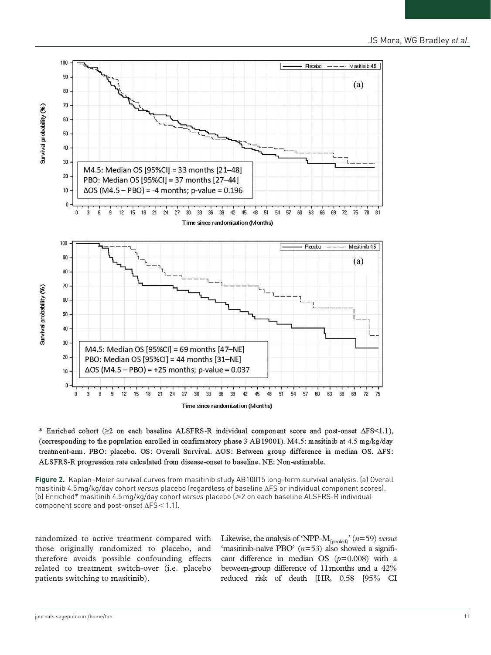

\* Enriched cohort (>2 on each baseline ALSFRS-R individual component score and post-onset  $\Delta FS<1.1$ ), (corresponding to the population enrolled in confirmatory phase 3 AB19001). M4.5: masitinib at 4.5 mg/kg/day treatment-am. PBO: placebo. OS: Overall Survival.  $\Delta OS$ : Between group difference in median OS.  $\Delta FS$ : ALSFRS-R progression rate calculated from disease-onset to baseline. NE: Non-estimable.

**Figure 2.** Kaplan–Meier survival curves from masitinib study AB10015 long-term survival analysis. (a) Overall masitinib 4.5mg/kg/day cohort *versus* placebo (regardless of baseline ΔFS or individual component scores). (b) Enriched\* masitinib 4.5mg/kg/day cohort *versus* placebo (⩾2 on each baseline ALSFRS-R individual component score and post-onset ΔFS<1.1).

randomized to active treatment compared with those originally randomized to placebo, and therefore avoids possible confounding effects related to treatment switch-over (i.e. placebo patients switching to masitinib).

Likewise, the analysis of 'NPP-M(pooled)' (*n*=59) *versus* 'masitinib-naïve PBO' (*n*=53) also showed a significant difference in median OS (*p*=0.008) with a between-group difference of 11months and a 42% reduced risk of death [HR, 0.58 [95% CI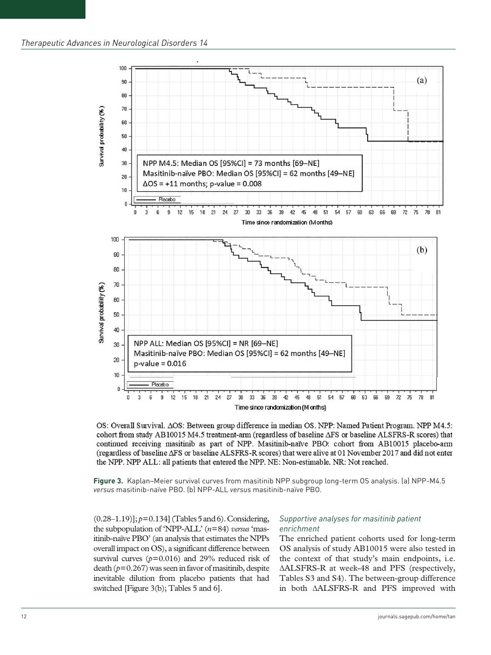

OS: Overall Survival.  $\Delta OS$ : Between group difference in median OS. NPP: Named Patient Program. NPP M4.5: cohort from study AB10015 M4.5 treatment-arm (regardless of baseline  $\Delta FS$  or baseline ALSFRS-R scores) that continued receiving masitinib as part of NPP. Masitinib-naïve PBO: cohort from AB10015 placebo-arm (regardless of baseline ∆FS or baseline ALSFRS-R scores) that were alive at 01 November 2017 and did not enter the NPP. NPP ALL: all patients that entered the NPP. NE: Non-estimable. NR: Not reached.

**Figure 3.** Kaplan–Meier survival curves from masitinib NPP subgroup long-term OS analysis. (a) NPP-M4.5 *versus* masitinib-naïve PBO. (b) NPP-ALL *versus* masitinib-naïve PBO.

 $(0.28-1.19)$ ];  $p=0.134$ ] (Tables 5 and 6). Considering, the subpopulation of 'NPP-ALL' (*n*=84) *versus* 'masitinib-naïve PBO' (an analysis that estimates the NPPs overall impact on OS), a significant difference between survival curves  $(p=0.016)$  and 29% reduced risk of death  $(p=0.267)$  was seen in favor of masitinib, despite inevitable dilution from placebo patients that had switched [Figure 3(b); Tables 5 and 6].

#### *Supportive analyses for masitinib patient enrichment*

The enriched patient cohorts used for long-term OS analysis of study AB10015 were also tested in the context of that study's main endpoints, i.e. ∆ALSFRS-R at week-48 and PFS (respectively, Tables S3 and S4). The between-group difference in both ∆ALSFRS-R and PFS improved with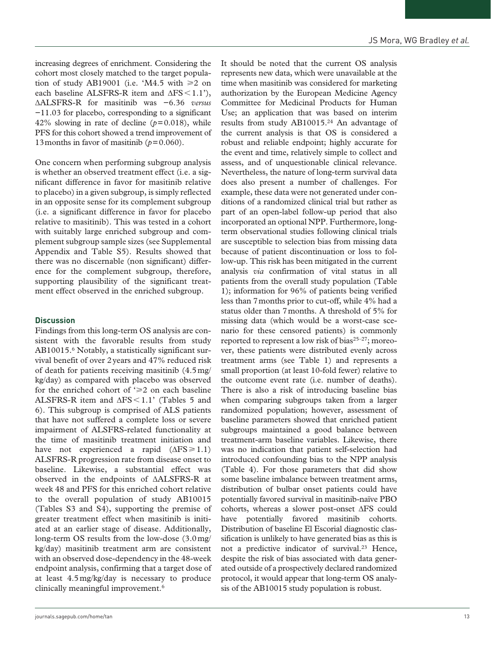increasing degrees of enrichment. Considering the cohort most closely matched to the target population of study AB19001 (i.e. 'M4.5 with  $\geq 2$  on each baseline ALSFRS-R item and  $\Delta FS < 1.1'$ ), ∆ALSFRS-R for masitinib was −6.36 *versus* −11.03 for placebo, corresponding to a significant 42% slowing in rate of decline  $(p=0.018)$ , while PFS for this cohort showed a trend improvement of 13 months in favor of masitinib ( $p=0.060$ ).

One concern when performing subgroup analysis is whether an observed treatment effect (i.e. a significant difference in favor for masitinib relative to placebo) in a given subgroup, is simply reflected in an opposite sense for its complement subgroup (i.e. a significant difference in favor for placebo relative to masitinib). This was tested in a cohort with suitably large enriched subgroup and complement subgroup sample sizes (see Supplemental Appendix and Table S5). Results showed that there was no discernable (non significant) difference for the complement subgroup, therefore, supporting plausibility of the significant treatment effect observed in the enriched subgroup.

## **Discussion**

Findings from this long-term OS analysis are consistent with the favorable results from study AB10015.6 Notably, a statistically significant survival benefit of over 2years and 47% reduced risk of death for patients receiving masitinib (4.5mg/ kg/day) as compared with placebo was observed for the enriched cohort of  $\geq 2$  on each baseline ALSFRS-R item and ΔFS<1.1' (Tables 5 and 6). This subgroup is comprised of ALS patients that have not suffered a complete loss or severe impairment of ALSFRS-related functionality at the time of masitinib treatment initiation and have not experienced a rapid  $(\Delta FS \ge 1.1)$ ALSFRS-R progression rate from disease onset to baseline. Likewise, a substantial effect was observed in the endpoints of ∆ALSFRS-R at week 48 and PFS for this enriched cohort relative to the overall population of study AB10015 (Tables S3 and S4), supporting the premise of greater treatment effect when masitinib is initiated at an earlier stage of disease. Additionally, long-term OS results from the low-dose (3.0mg/ kg/day) masitinib treatment arm are consistent with an observed dose-dependency in the 48-week endpoint analysis, confirming that a target dose of at least 4.5mg/kg/day is necessary to produce clinically meaningful improvement.<sup>6</sup>

It should be noted that the current OS analysis represents new data, which were unavailable at the time when masitinib was considered for marketing authorization by the European Medicine Agency Committee for Medicinal Products for Human Use; an application that was based on interim results from study AB10015.24 An advantage of the current analysis is that OS is considered a robust and reliable endpoint; highly accurate for the event and time, relatively simple to collect and assess, and of unquestionable clinical relevance. Nevertheless, the nature of long-term survival data does also present a number of challenges. For example, these data were not generated under conditions of a randomized clinical trial but rather as part of an open-label follow-up period that also incorporated an optional NPP. Furthermore, longterm observational studies following clinical trials are susceptible to selection bias from missing data because of patient discontinuation or loss to follow-up. This risk has been mitigated in the current analysis *via* confirmation of vital status in all patients from the overall study population (Table 1); information for 96% of patients being verified less than 7months prior to cut-off, while 4% had a status older than 7months. A threshold of 5% for missing data (which would be a worst-case scenario for these censored patients) is commonly reported to represent a low risk of bias $25-27$ ; moreover, these patients were distributed evenly across treatment arms (see Table 1) and represents a small proportion (at least 10-fold fewer) relative to the outcome event rate (i.e. number of deaths). There is also a risk of introducing baseline bias when comparing subgroups taken from a larger randomized population; however, assessment of baseline parameters showed that enriched patient subgroups maintained a good balance between treatment-arm baseline variables. Likewise, there was no indication that patient self-selection had introduced confounding bias to the NPP analysis (Table 4). For those parameters that did show some baseline imbalance between treatment arms, distribution of bulbar onset patients could have potentially favored survival in masitinib-naïve PBO cohorts, whereas a slower post-onset ΔFS could have potentially favored masitinib cohorts. Distribution of baseline El Escorial diagnostic classification is unlikely to have generated bias as this is not a predictive indicator of survival.<sup>23</sup> Hence, despite the risk of bias associated with data generated outside of a prospectively declared randomized protocol, it would appear that long-term OS analysis of the AB10015 study population is robust.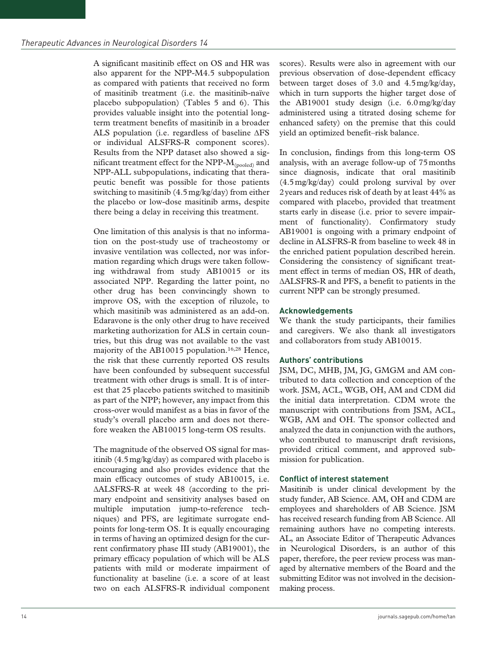A significant masitinib effect on OS and HR was also apparent for the NPP-M4.5 subpopulation as compared with patients that received no form of masitinib treatment (i.e. the masitinib-naïve placebo subpopulation) (Tables 5 and 6). This provides valuable insight into the potential longterm treatment benefits of masitinib in a broader ALS population (i.e. regardless of baseline ΔFS or individual ALSFRS-R component scores). Results from the NPP dataset also showed a significant treatment effect for the NPP-M(pooled) and NPP-ALL subpopulations, indicating that therapeutic benefit was possible for those patients switching to masitinib (4.5mg/kg/day) from either the placebo or low-dose masitinib arms, despite there being a delay in receiving this treatment.

One limitation of this analysis is that no information on the post-study use of tracheostomy or invasive ventilation was collected, nor was information regarding which drugs were taken following withdrawal from study AB10015 or its associated NPP. Regarding the latter point, no other drug has been convincingly shown to improve OS, with the exception of riluzole, to which masitinib was administered as an add-on. Edaravone is the only other drug to have received marketing authorization for ALS in certain countries, but this drug was not available to the vast majority of the AB10015 population.<sup>16,28</sup> Hence, the risk that these currently reported OS results have been confounded by subsequent successful treatment with other drugs is small. It is of interest that 25 placebo patients switched to masitinib as part of the NPP; however, any impact from this cross-over would manifest as a bias in favor of the study's overall placebo arm and does not therefore weaken the AB10015 long-term OS results.

The magnitude of the observed OS signal for masitinib (4.5mg/kg/day) as compared with placebo is encouraging and also provides evidence that the main efficacy outcomes of study AB10015, i.e. ∆ALSFRS-R at week 48 (according to the primary endpoint and sensitivity analyses based on multiple imputation jump-to-reference techniques) and PFS, are legitimate surrogate endpoints for long-term OS. It is equally encouraging in terms of having an optimized design for the current confirmatory phase III study (AB19001), the primary efficacy population of which will be ALS patients with mild or moderate impairment of functionality at baseline (i.e. a score of at least two on each ALSFRS-R individual component

scores). Results were also in agreement with our previous observation of dose-dependent efficacy between target doses of 3.0 and 4.5mg/kg/day, which in turn supports the higher target dose of the AB19001 study design (i.e. 6.0mg/kg/day administered using a titrated dosing scheme for enhanced safety) on the premise that this could yield an optimized benefit–risk balance.

In conclusion, findings from this long-term OS analysis, with an average follow-up of 75months since diagnosis, indicate that oral masitinib (4.5mg/kg/day) could prolong survival by over 2years and reduces risk of death by at least 44% as compared with placebo, provided that treatment starts early in disease (i.e. prior to severe impairment of functionality). Confirmatory study AB19001 is ongoing with a primary endpoint of decline in ALSFRS-R from baseline to week 48 in the enriched patient population described herein. Considering the consistency of significant treatment effect in terms of median OS, HR of death, ∆ALSFRS-R and PFS, a benefit to patients in the current NPP can be strongly presumed.

## **Acknowledgements**

We thank the study participants, their families and caregivers. We also thank all investigators and collaborators from study AB10015.

## **Authors' contributions**

JSM, DC, MHB, JM, JG, GMGM and AM contributed to data collection and conception of the work. JSM, ACL, WGB, OH, AM and CDM did the initial data interpretation. CDM wrote the manuscript with contributions from JSM, ACL, WGB, AM and OH. The sponsor collected and analyzed the data in conjunction with the authors, who contributed to manuscript draft revisions, provided critical comment, and approved submission for publication.

#### **Conflict of interest statement**

Masitinib is under clinical development by the study funder, AB Science. AM, OH and CDM are employees and shareholders of AB Science. JSM has received research funding from AB Science. All remaining authors have no competing interests. AL, an Associate Editor of Therapeutic Advances in Neurological Disorders, is an author of this paper, therefore, the peer review process was managed by alternative members of the Board and the submitting Editor was not involved in the decisionmaking process.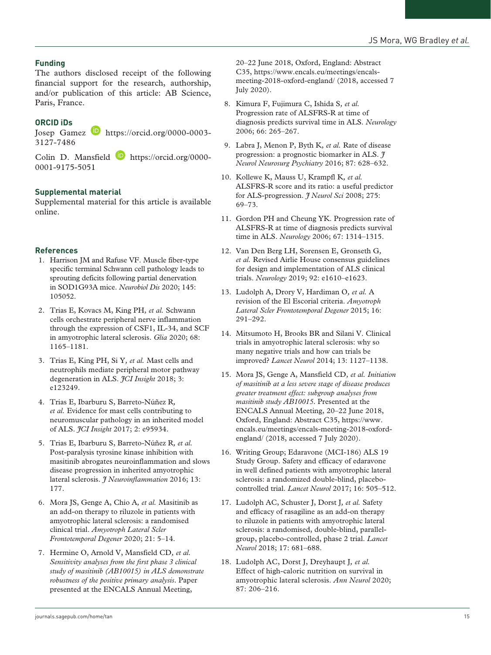# **Funding**

The authors disclosed receipt of the following financial support for the research, authorship, and/or publication of this article: AB Science, Paris, France.

# **ORCID iDs**

Josep Gamez **b** [https://orcid.org/0000-0003-](https://orcid.org/0000-0003-3127-7486) [3127-7486](https://orcid.org/0000-0003-3127-7486)

Colin D. Mansfield [https://orcid.org/0000-](https://orcid.org/0000-0001-9175-5051) [0001-9175-5051](https://orcid.org/0000-0001-9175-5051)

#### **Supplemental material**

Supplemental material for this article is available online.

#### **References**

- 1. Harrison JM and Rafuse VF. Muscle fiber-type specific terminal Schwann cell pathology leads to sprouting deficits following partial denervation in SOD1G93A mice. *Neurobiol Dis* 2020; 145: 105052.
- 2. Trias E, Kovacs M, King PH*, et al.* Schwann cells orchestrate peripheral nerve inflammation through the expression of CSF1, IL-34, and SCF in amyotrophic lateral sclerosis. *Glia* 2020; 68: 1165–1181.
- 3. Trias E, King PH, Si Y*, et al.* Mast cells and neutrophils mediate peripheral motor pathway degeneration in ALS. *JCI Insight* 2018; 3: e123249.
- 4. Trias E, Ibarburu S, Barreto-Núñez R*, et al.* Evidence for mast cells contributing to neuromuscular pathology in an inherited model of ALS. *JCI Insight* 2017; 2: e95934.
- 5. Trias E, Ibarburu S, Barreto-Núñez R*, et al.* Post-paralysis tyrosine kinase inhibition with masitinib abrogates neuroinflammation and slows disease progression in inherited amyotrophic lateral sclerosis. *J Neuroinflammation* 2016; 13: 177.
- 6. Mora JS, Genge A, Chio A*, et al.* Masitinib as an add-on therapy to riluzole in patients with amyotrophic lateral sclerosis: a randomised clinical trial. *Amyotroph Lateral Scler Frontotemporal Degener* 2020; 21: 5–14.
- 7. Hermine O, Arnold V, Mansfield CD*, et al. Sensitivity analyses from the first phase 3 clinical study of masitinib (AB10015) in ALS demonstrate robustness of the positive primary analysis*. Paper presented at the ENCALS Annual Meeting,

20–22 June 2018, Oxford, England: Abstract C35, [https://www.encals.eu/meetings/encals](https://www.encals.eu/meetings/encals-meeting-2018-oxford-england/)[meeting-2018-oxford-england/](https://www.encals.eu/meetings/encals-meeting-2018-oxford-england/) (2018, accessed 7 July 2020).

- 8. Kimura F, Fujimura C, Ishida S*, et al.* Progression rate of ALSFRS-R at time of diagnosis predicts survival time in ALS. *Neurology* 2006; 66: 265–267.
- 9. Labra J, Menon P, Byth K*, et al.* Rate of disease progression: a prognostic biomarker in ALS. *J Neurol Neurosurg Psychiatry* 2016; 87: 628–632.
- 10. Kollewe K, Mauss U, Krampfl K*, et al.* ALSFRS-R score and its ratio: a useful predictor for ALS-progression. *J Neurol Sci* 2008; 275: 69–73.
- 11. Gordon PH and Cheung YK. Progression rate of ALSFRS-R at time of diagnosis predicts survival time in ALS. *Neurology* 2006; 67: 1314–1315.
- 12. Van Den Berg LH, Sorensen E, Gronseth G*, et al.* Revised Airlie House consensus guidelines for design and implementation of ALS clinical trials. *Neurology* 2019; 92: e1610–e1623.
- 13. Ludolph A, Drory V, Hardiman O*, et al.* A revision of the El Escorial criteria. *Amyotroph Lateral Scler Frontotemporal Degener* 2015; 16: 291–292.
- 14. Mitsumoto H, Brooks BR and Silani V. Clinical trials in amyotrophic lateral sclerosis: why so many negative trials and how can trials be improved? *Lancet Neurol* 2014; 13: 1127–1138.
- 15. Mora JS, Genge A, Mansfield CD*, et al. Initiation of masitinib at a less severe stage of disease produces greater treatment effect: subgroup analyses from masitinib study AB10015*. Presented at the ENCALS Annual Meeting, 20–22 June 2018, Oxford, England: Abstract C35, [https://www.](https://www.encals.eu/meetings/encals-meeting-2018-oxford-england/) [encals.eu/meetings/encals-meeting-2018-oxford](https://www.encals.eu/meetings/encals-meeting-2018-oxford-england/)[england/](https://www.encals.eu/meetings/encals-meeting-2018-oxford-england/) (2018, accessed 7 July 2020).
- 16. Writing Group; Edaravone (MCI-186) ALS 19 Study Group. Safety and efficacy of edaravone in well defined patients with amyotrophic lateral sclerosis: a randomized double-blind, placebocontrolled trial. *Lancet Neurol* 2017; 16: 505–512.
- 17. Ludolph AC, Schuster J, Dorst J*, et al.* Safety and efficacy of rasagiline as an add-on therapy to riluzole in patients with amyotrophic lateral sclerosis: a randomised, double-blind, parallelgroup, placebo-controlled, phase 2 trial. *Lancet Neurol* 2018; 17: 681–688.
- 18. Ludolph AC, Dorst J, Dreyhaupt J*, et al.* Effect of high-caloric nutrition on survival in amyotrophic lateral sclerosis. *Ann Neurol* 2020; 87: 206–216.